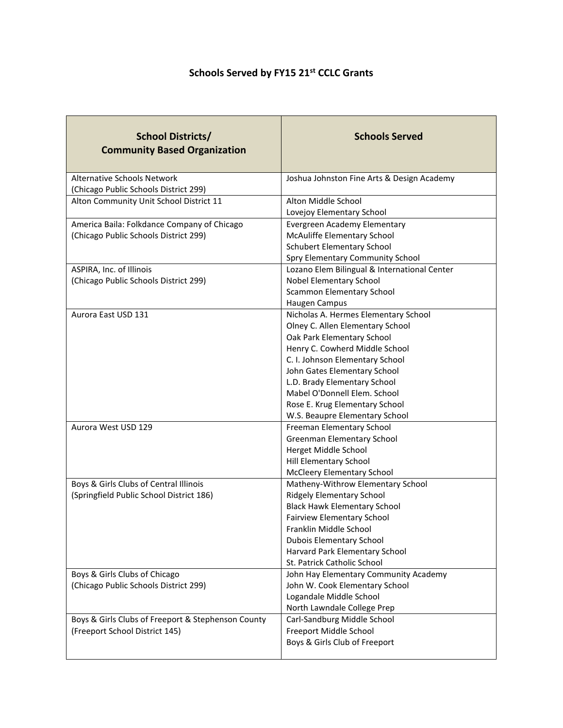## **Schools Served by FY15 21st CCLC Grants**

| <b>School Districts/</b><br><b>Community Based Organization</b>             | <b>Schools Served</b>                                         |
|-----------------------------------------------------------------------------|---------------------------------------------------------------|
| <b>Alternative Schools Network</b><br>(Chicago Public Schools District 299) | Joshua Johnston Fine Arts & Design Academy                    |
| Alton Community Unit School District 11                                     | Alton Middle School<br>Lovejoy Elementary School              |
| America Baila: Folkdance Company of Chicago                                 | Evergreen Academy Elementary                                  |
| (Chicago Public Schools District 299)                                       | McAuliffe Elementary School                                   |
|                                                                             | <b>Schubert Elementary School</b>                             |
|                                                                             | Spry Elementary Community School                              |
| ASPIRA, Inc. of Illinois                                                    | Lozano Elem Bilingual & International Center                  |
| (Chicago Public Schools District 299)                                       | Nobel Elementary School                                       |
|                                                                             | <b>Scammon Elementary School</b>                              |
|                                                                             | Haugen Campus                                                 |
| Aurora East USD 131                                                         | Nicholas A. Hermes Elementary School                          |
|                                                                             | Olney C. Allen Elementary School                              |
|                                                                             | Oak Park Elementary School<br>Henry C. Cowherd Middle School  |
|                                                                             | C. I. Johnson Elementary School                               |
|                                                                             | John Gates Elementary School                                  |
|                                                                             | L.D. Brady Elementary School                                  |
|                                                                             | Mabel O'Donnell Elem. School                                  |
|                                                                             | Rose E. Krug Elementary School                                |
|                                                                             | W.S. Beaupre Elementary School                                |
| Aurora West USD 129                                                         | Freeman Elementary School                                     |
|                                                                             | Greenman Elementary School                                    |
|                                                                             | Herget Middle School                                          |
|                                                                             | Hill Elementary School                                        |
|                                                                             | <b>McCleery Elementary School</b>                             |
| Boys & Girls Clubs of Central Illinois                                      | Matheny-Withrow Elementary School                             |
| (Springfield Public School District 186)                                    | <b>Ridgely Elementary School</b>                              |
|                                                                             | <b>Black Hawk Elementary School</b>                           |
|                                                                             | <b>Fairview Elementary School</b>                             |
|                                                                             | Franklin Middle School                                        |
|                                                                             | <b>Dubois Elementary School</b>                               |
|                                                                             | Harvard Park Elementary School<br>St. Patrick Catholic School |
| Boys & Girls Clubs of Chicago                                               | John Hay Elementary Community Academy                         |
| (Chicago Public Schools District 299)                                       | John W. Cook Elementary School                                |
|                                                                             | Logandale Middle School                                       |
|                                                                             | North Lawndale College Prep                                   |
| Boys & Girls Clubs of Freeport & Stephenson County                          | Carl-Sandburg Middle School                                   |
| (Freeport School District 145)                                              | Freeport Middle School                                        |
|                                                                             | Boys & Girls Club of Freeport                                 |
|                                                                             |                                                               |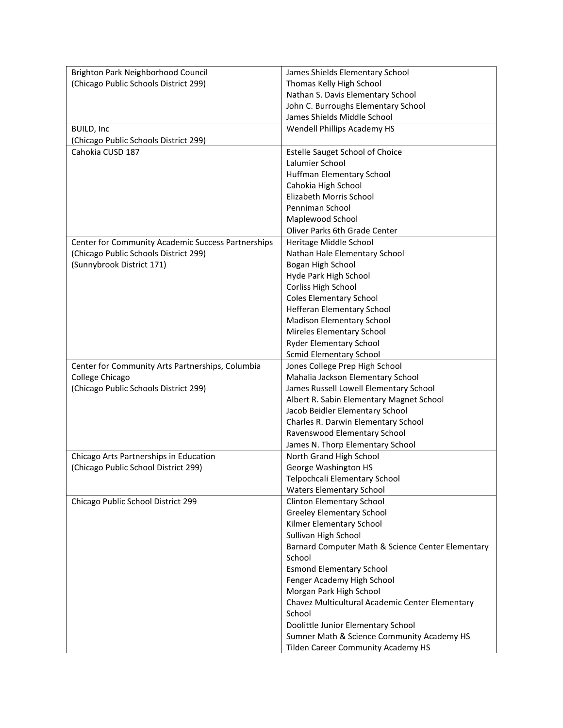| Brighton Park Neighborhood Council                 | James Shields Elementary School                                                  |
|----------------------------------------------------|----------------------------------------------------------------------------------|
| (Chicago Public Schools District 299)              | Thomas Kelly High School                                                         |
|                                                    | Nathan S. Davis Elementary School                                                |
|                                                    | John C. Burroughs Elementary School                                              |
|                                                    | James Shields Middle School                                                      |
| <b>BUILD, Inc</b>                                  | Wendell Phillips Academy HS                                                      |
| (Chicago Public Schools District 299)              |                                                                                  |
| Cahokia CUSD 187                                   | <b>Estelle Sauget School of Choice</b>                                           |
|                                                    | Lalumier School                                                                  |
|                                                    | Huffman Elementary School                                                        |
|                                                    | Cahokia High School                                                              |
|                                                    | Elizabeth Morris School                                                          |
|                                                    | Penniman School                                                                  |
|                                                    | Maplewood School                                                                 |
|                                                    | Oliver Parks 6th Grade Center                                                    |
| Center for Community Academic Success Partnerships | Heritage Middle School                                                           |
| (Chicago Public Schools District 299)              | Nathan Hale Elementary School                                                    |
| (Sunnybrook District 171)                          | Bogan High School                                                                |
|                                                    | Hyde Park High School                                                            |
|                                                    | Corliss High School                                                              |
|                                                    | <b>Coles Elementary School</b>                                                   |
|                                                    | Hefferan Elementary School                                                       |
|                                                    | <b>Madison Elementary School</b>                                                 |
|                                                    | Mireles Elementary School                                                        |
|                                                    | <b>Ryder Elementary School</b>                                                   |
|                                                    | <b>Scmid Elementary School</b>                                                   |
| Center for Community Arts Partnerships, Columbia   | Jones College Prep High School                                                   |
| College Chicago                                    | Mahalia Jackson Elementary School                                                |
| (Chicago Public Schools District 299)              | James Russell Lowell Elementary School                                           |
|                                                    | Albert R. Sabin Elementary Magnet School                                         |
|                                                    | Jacob Beidler Elementary School                                                  |
|                                                    | Charles R. Darwin Elementary School                                              |
|                                                    | Ravenswood Elementary School                                                     |
|                                                    | James N. Thorp Elementary School                                                 |
| Chicago Arts Partnerships in Education             | North Grand High School                                                          |
| (Chicago Public School District 299)               | George Washington HS                                                             |
|                                                    | Telpochcali Elementary School                                                    |
|                                                    | <b>Waters Elementary School</b>                                                  |
| Chicago Public School District 299                 | Clinton Elementary School                                                        |
|                                                    | <b>Greeley Elementary School</b>                                                 |
|                                                    | Kilmer Elementary School                                                         |
|                                                    | Sullivan High School                                                             |
|                                                    | Barnard Computer Math & Science Center Elementary                                |
|                                                    | School                                                                           |
|                                                    | <b>Esmond Elementary School</b>                                                  |
|                                                    | Fenger Academy High School                                                       |
|                                                    | Morgan Park High School                                                          |
|                                                    | Chavez Multicultural Academic Center Elementary<br>School                        |
|                                                    |                                                                                  |
|                                                    | Doolittle Junior Elementary School<br>Sumner Math & Science Community Academy HS |
|                                                    | <b>Tilden Career Community Academy HS</b>                                        |
|                                                    |                                                                                  |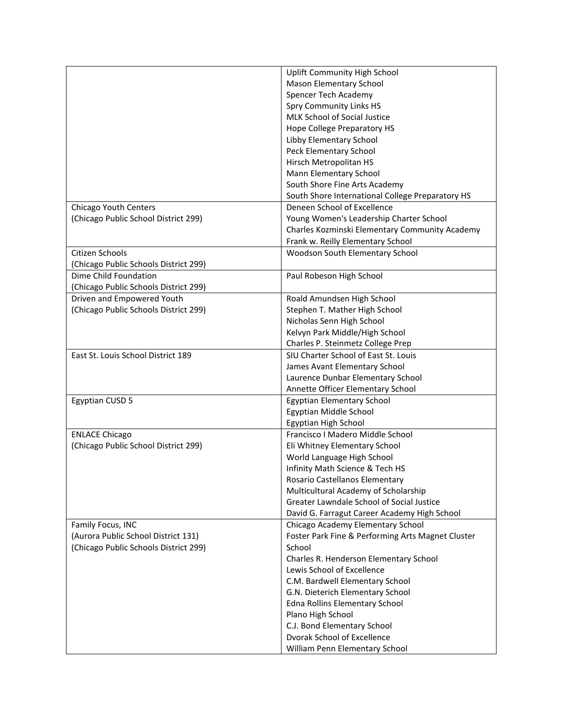|                                       | Uplift Community High School                      |
|---------------------------------------|---------------------------------------------------|
|                                       | Mason Elementary School                           |
|                                       | Spencer Tech Academy                              |
|                                       | <b>Spry Community Links HS</b>                    |
|                                       | MLK School of Social Justice                      |
|                                       | Hope College Preparatory HS                       |
|                                       | Libby Elementary School                           |
|                                       | Peck Elementary School                            |
|                                       | Hirsch Metropolitan HS                            |
|                                       | Mann Elementary School                            |
|                                       | South Shore Fine Arts Academy                     |
|                                       | South Shore International College Preparatory HS  |
| Chicago Youth Centers                 | Deneen School of Excellence                       |
| (Chicago Public School District 299)  | Young Women's Leadership Charter School           |
|                                       | Charles Kozminski Elementary Community Academy    |
|                                       | Frank w. Reilly Elementary School                 |
| Citizen Schools                       | Woodson South Elementary School                   |
| (Chicago Public Schools District 299) |                                                   |
| Dime Child Foundation                 | Paul Robeson High School                          |
| (Chicago Public Schools District 299) |                                                   |
| Driven and Empowered Youth            | Roald Amundsen High School                        |
| (Chicago Public Schools District 299) | Stephen T. Mather High School                     |
|                                       | Nicholas Senn High School                         |
|                                       | Kelvyn Park Middle/High School                    |
|                                       | Charles P. Steinmetz College Prep                 |
| East St. Louis School District 189    | SIU Charter School of East St. Louis              |
|                                       | James Avant Elementary School                     |
|                                       | Laurence Dunbar Elementary School                 |
|                                       | Annette Officer Elementary School                 |
| <b>Egyptian CUSD 5</b>                | Egyptian Elementary School                        |
|                                       | Egyptian Middle School                            |
|                                       | Egyptian High School                              |
| <b>ENLACE Chicago</b>                 | Francisco I Madero Middle School                  |
| (Chicago Public School District 299)  | Eli Whitney Elementary School                     |
|                                       |                                                   |
|                                       | World Language High School                        |
|                                       | Infinity Math Science & Tech HS                   |
|                                       | Rosario Castellanos Elementary                    |
|                                       | Multicultural Academy of Scholarship              |
|                                       | Greater Lawndale School of Social Justice         |
|                                       | David G. Farragut Career Academy High School      |
| Family Focus, INC                     | Chicago Academy Elementary School                 |
| (Aurora Public School District 131)   | Foster Park Fine & Performing Arts Magnet Cluster |
| (Chicago Public Schools District 299) | School                                            |
|                                       | Charles R. Henderson Elementary School            |
|                                       | Lewis School of Excellence                        |
|                                       | C.M. Bardwell Elementary School                   |
|                                       | G.N. Dieterich Elementary School                  |
|                                       | Edna Rollins Elementary School                    |
|                                       | Plano High School                                 |
|                                       | C.J. Bond Elementary School                       |
|                                       | Dvorak School of Excellence                       |
|                                       | William Penn Elementary School                    |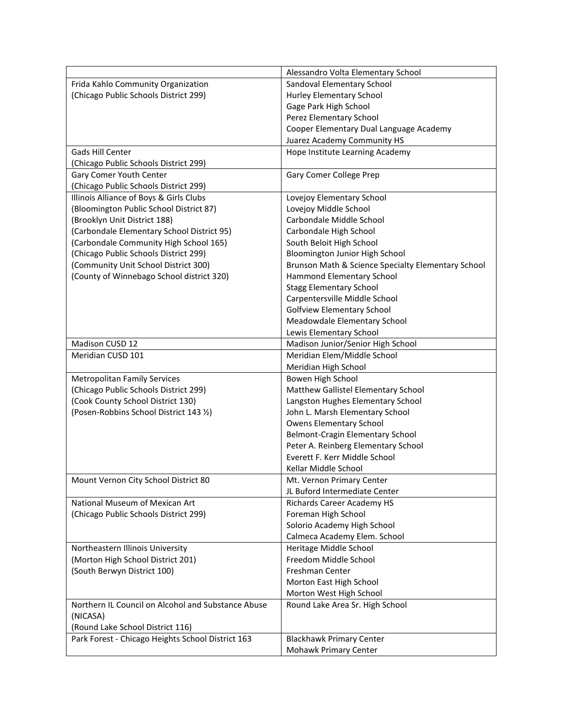|                                                    | Alessandro Volta Elementary School                 |
|----------------------------------------------------|----------------------------------------------------|
| Frida Kahlo Community Organization                 | Sandoval Elementary School                         |
| (Chicago Public Schools District 299)              | Hurley Elementary School                           |
|                                                    | Gage Park High School                              |
|                                                    | Perez Elementary School                            |
|                                                    | Cooper Elementary Dual Language Academy            |
|                                                    | Juarez Academy Community HS                        |
| Gads Hill Center                                   | Hope Institute Learning Academy                    |
| (Chicago Public Schools District 299)              |                                                    |
| Gary Comer Youth Center                            | Gary Comer College Prep                            |
| (Chicago Public Schools District 299)              |                                                    |
| Illinois Alliance of Boys & Girls Clubs            | Lovejoy Elementary School                          |
| (Bloomington Public School District 87)            | Lovejoy Middle School                              |
| (Brooklyn Unit District 188)                       | Carbondale Middle School                           |
| (Carbondale Elementary School District 95)         | Carbondale High School                             |
| (Carbondale Community High School 165)             | South Beloit High School                           |
| (Chicago Public Schools District 299)              | Bloomington Junior High School                     |
| (Community Unit School District 300)               | Brunson Math & Science Specialty Elementary School |
| (County of Winnebago School district 320)          | Hammond Elementary School                          |
|                                                    | <b>Stagg Elementary School</b>                     |
|                                                    | Carpentersville Middle School                      |
|                                                    | <b>Golfview Elementary School</b>                  |
|                                                    | Meadowdale Elementary School                       |
|                                                    | Lewis Elementary School                            |
| Madison CUSD 12                                    | Madison Junior/Senior High School                  |
| Meridian CUSD 101                                  | Meridian Elem/Middle School                        |
|                                                    | Meridian High School                               |
| <b>Metropolitan Family Services</b>                | Bowen High School                                  |
| (Chicago Public Schools District 299)              | Matthew Gallistel Elementary School                |
| (Cook County School District 130)                  | Langston Hughes Elementary School                  |
| (Posen-Robbins School District 143 %)              | John L. Marsh Elementary School                    |
|                                                    | <b>Owens Elementary School</b>                     |
|                                                    | Belmont-Cragin Elementary School                   |
|                                                    | Peter A. Reinberg Elementary School                |
|                                                    | Everett F. Kerr Middle School                      |
|                                                    | Kellar Middle School                               |
| Mount Vernon City School District 80               | Mt. Vernon Primary Center                          |
|                                                    | JL Buford Intermediate Center                      |
| National Museum of Mexican Art                     | Richards Career Academy HS                         |
| (Chicago Public Schools District 299)              | Foreman High School                                |
|                                                    | Solorio Academy High School                        |
|                                                    | Calmeca Academy Elem. School                       |
| Northeastern Illinois University                   | Heritage Middle School                             |
| (Morton High School District 201)                  | Freedom Middle School                              |
| (South Berwyn District 100)                        | Freshman Center                                    |
|                                                    | Morton East High School                            |
|                                                    | Morton West High School                            |
| Northern IL Council on Alcohol and Substance Abuse | Round Lake Area Sr. High School                    |
| (NICASA)                                           |                                                    |
| (Round Lake School District 116)                   |                                                    |
| Park Forest - Chicago Heights School District 163  | <b>Blackhawk Primary Center</b>                    |
|                                                    | Mohawk Primary Center                              |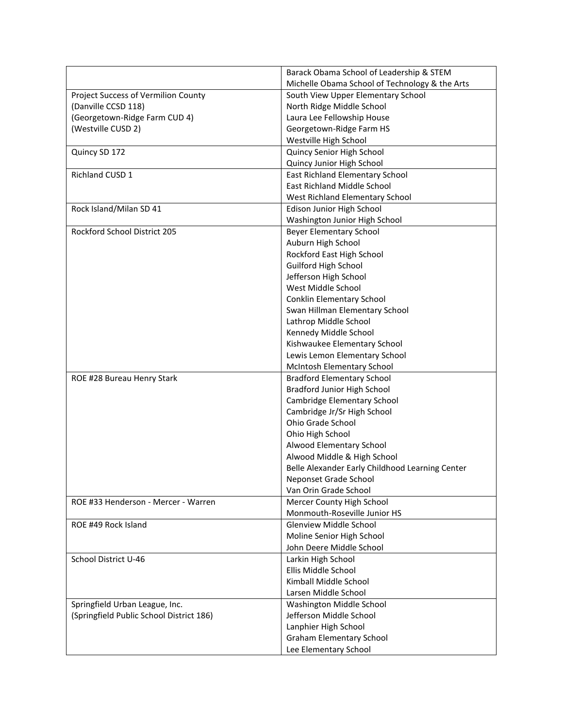|                                          | Barack Obama School of Leadership & STEM        |
|------------------------------------------|-------------------------------------------------|
|                                          | Michelle Obama School of Technology & the Arts  |
| Project Success of Vermilion County      | South View Upper Elementary School              |
| (Danville CCSD 118)                      | North Ridge Middle School                       |
| (Georgetown-Ridge Farm CUD 4)            | Laura Lee Fellowship House                      |
| (Westville CUSD 2)                       | Georgetown-Ridge Farm HS                        |
|                                          | Westville High School                           |
| Quincy SD 172                            | Quincy Senior High School                       |
|                                          | Quincy Junior High School                       |
| Richland CUSD 1                          | East Richland Elementary School                 |
|                                          | <b>East Richland Middle School</b>              |
|                                          | West Richland Elementary School                 |
| Rock Island/Milan SD 41                  | Edison Junior High School                       |
|                                          | Washington Junior High School                   |
| Rockford School District 205             | <b>Beyer Elementary School</b>                  |
|                                          | Auburn High School                              |
|                                          | Rockford East High School                       |
|                                          | <b>Guilford High School</b>                     |
|                                          | Jefferson High School                           |
|                                          | West Middle School                              |
|                                          | Conklin Elementary School                       |
|                                          | Swan Hillman Elementary School                  |
|                                          | Lathrop Middle School                           |
|                                          | Kennedy Middle School                           |
|                                          | Kishwaukee Elementary School                    |
|                                          | Lewis Lemon Elementary School                   |
|                                          | McIntosh Elementary School                      |
| ROE #28 Bureau Henry Stark               | <b>Bradford Elementary School</b>               |
|                                          | Bradford Junior High School                     |
|                                          | Cambridge Elementary School                     |
|                                          | Cambridge Jr/Sr High School                     |
|                                          | Ohio Grade School                               |
|                                          | Ohio High School                                |
|                                          | Alwood Elementary School                        |
|                                          | Alwood Middle & High School                     |
|                                          | Belle Alexander Early Childhood Learning Center |
|                                          | Neponset Grade School                           |
|                                          | Van Orin Grade School                           |
| ROE #33 Henderson - Mercer - Warren      | Mercer County High School                       |
|                                          | Monmouth-Roseville Junior HS                    |
| ROE #49 Rock Island                      | Glenview Middle School                          |
|                                          | Moline Senior High School                       |
|                                          | John Deere Middle School                        |
| School District U-46                     | Larkin High School                              |
|                                          | Ellis Middle School                             |
|                                          | Kimball Middle School                           |
|                                          | Larsen Middle School                            |
| Springfield Urban League, Inc.           | Washington Middle School                        |
| (Springfield Public School District 186) | Jefferson Middle School                         |
|                                          | Lanphier High School                            |
|                                          | <b>Graham Elementary School</b>                 |
|                                          | Lee Elementary School                           |